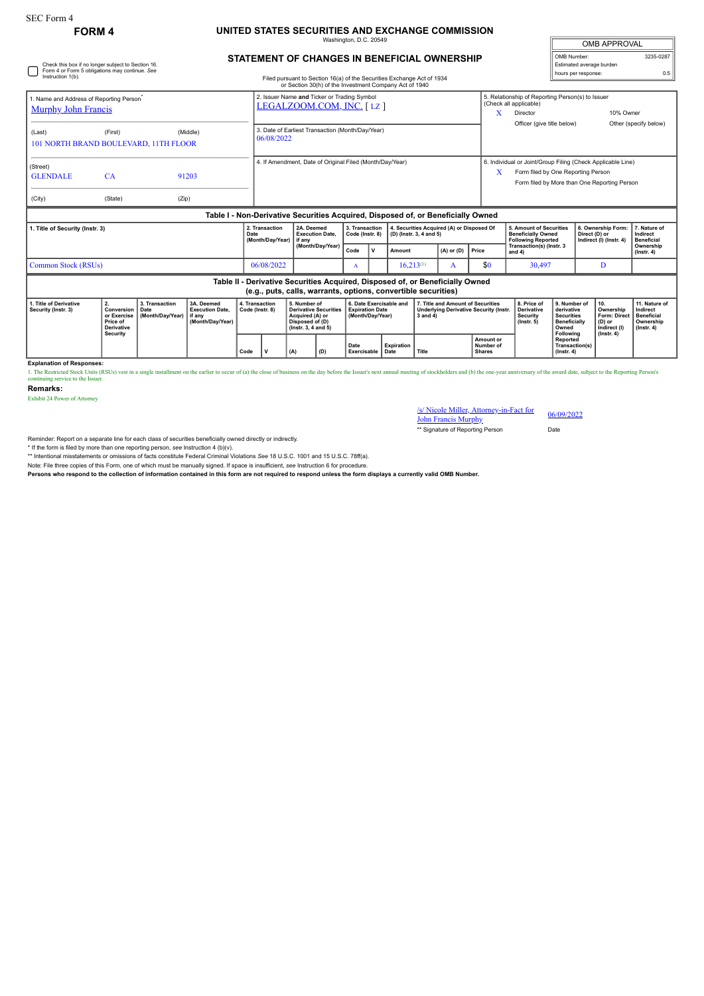## **FORM 4 UNITED STATES SECURITIES AND EXCHANGE COMMISSION**

naton, D.C. 2

| <b>OMB APPROVAL</b>      |           |  |  |  |  |  |  |  |
|--------------------------|-----------|--|--|--|--|--|--|--|
| OMB Number:              | 3235-0287 |  |  |  |  |  |  |  |
| Estimated average burden |           |  |  |  |  |  |  |  |
| hours per response:      | 0.5       |  |  |  |  |  |  |  |

### **STATEMENT OF CHANGES IN BENEFICIAL OWNERSHIP**

|                                                                                    | Check this box if no longer subject to Section 16.<br>Form 4 or Form 5 obligations may continue. See |            |                                                                                  |                                                                                                                                  |                                   |                |                                                                      |                                      | Estimated average burden<br>hours per response:                                        |                                                                                                                                                        |                                                                |                                               |
|------------------------------------------------------------------------------------|------------------------------------------------------------------------------------------------------|------------|----------------------------------------------------------------------------------|----------------------------------------------------------------------------------------------------------------------------------|-----------------------------------|----------------|----------------------------------------------------------------------|--------------------------------------|----------------------------------------------------------------------------------------|--------------------------------------------------------------------------------------------------------------------------------------------------------|----------------------------------------------------------------|-----------------------------------------------|
| Instruction 1(b).                                                                  |                                                                                                      |            |                                                                                  | Filed pursuant to Section 16(a) of the Securities Exchange Act of 1934<br>or Section 30(h) of the Investment Company Act of 1940 |                                   |                |                                                                      |                                      |                                                                                        |                                                                                                                                                        |                                                                | 0.5                                           |
| 1. Name and Address of Reporting Person <sup>*</sup><br><b>Murphy John Francis</b> |                                                                                                      |            |                                                                                  | 2. Issuer Name and Ticker or Trading Symbol<br>LEGALZOOM.COM, INC. [LZ]                                                          |                                   |                |                                                                      | x                                    | 5. Relationship of Reporting Person(s) to Issuer<br>(Check all applicable)<br>Director | 10% Owner                                                                                                                                              |                                                                |                                               |
| (Last)<br>101 NORTH BRAND BOULEVARD, 11TH FLOOR                                    | (First)                                                                                              | (Middle)   |                                                                                  | 3. Date of Earliest Transaction (Month/Day/Year)<br>06/08/2022                                                                   |                                   |                |                                                                      |                                      |                                                                                        | Officer (give title below)                                                                                                                             |                                                                | Other (specify below)                         |
| (Street)<br><b>GLENDALE</b>                                                        | CA                                                                                                   | 91203      |                                                                                  | 4. If Amendment. Date of Original Filed (Month/Dav/Year)                                                                         |                                   |                |                                                                      |                                      |                                                                                        | 6. Individual or Joint/Group Filing (Check Applicable Line)<br>Form filed by One Reporting Person<br>X<br>Form filed by More than One Reporting Person |                                                                |                                               |
| (City)                                                                             | (State)                                                                                              | (Zip)      |                                                                                  |                                                                                                                                  |                                   |                |                                                                      |                                      |                                                                                        |                                                                                                                                                        |                                                                |                                               |
|                                                                                    |                                                                                                      |            | Table I - Non-Derivative Securities Acquired, Disposed of, or Beneficially Owned |                                                                                                                                  |                                   |                |                                                                      |                                      |                                                                                        |                                                                                                                                                        |                                                                |                                               |
| 1. Title of Security (Instr. 3)                                                    |                                                                                                      |            | 2. Transaction<br>Date<br>(Month/Day/Year)                                       | 2A. Deemed<br><b>Execution Date.</b><br>if any<br>(Month/Day/Year)                                                               | 3. Transaction<br>Code (Instr. 8) |                | 4. Securities Acquired (A) or Disposed Of<br>(D) (Instr. 3, 4 and 5) |                                      |                                                                                        | <b>5. Amount of Securities</b><br><b>Beneficially Owned</b><br><b>Following Reported</b>                                                               | 6. Ownership Form:<br>Direct (D) or<br>Indirect (I) (Instr. 4) | 7. Nature of<br>Indirect<br><b>Beneficial</b> |
|                                                                                    |                                                                                                      | Code       | $\mathbf v$                                                                      |                                                                                                                                  | Amount                            | $(A)$ or $(D)$ | Price                                                                | Transaction(s) (Instr. 3<br>and $4)$ |                                                                                        | Ownership<br>$($ Instr. 4 $)$                                                                                                                          |                                                                |                                               |
| Common Stock (RSUs)                                                                |                                                                                                      | 06/08/2022 |                                                                                  | A                                                                                                                                |                                   | $16,213^{(1)}$ | A                                                                    | \$0                                  | 30,497                                                                                 | D                                                                                                                                                      |                                                                |                                               |
|                                                                                    |                                                                                                      |            | Table II - Derivative Securities Acquired, Disposed of, or Beneficially Owned    | (e.g., puts, calls, warrants, options, convertible securities)                                                                   |                                   |                |                                                                      |                                      |                                                                                        |                                                                                                                                                        |                                                                |                                               |

# **(e.g., puts, calls, warrants, options, convertible securities)**

|  | 1. Title of Derivative<br>Security (Instr. 3) | Conversion   Date<br>Price of<br>Derivative<br>Security | 3. Transaction<br>l or Exercise Ⅰ(Month/Dav/Year)Ⅰif anv | 3A. Deemed<br><b>Execution Date.</b><br>(Month/Dav/Year) | 4. Transaction<br>Code (Instr. 8) |  | 5. Number of<br><b>Derivative Securities</b><br>Acquired (A) or<br>Disposed of (D)<br>$($ lnstr. 3. 4 and 5 $)$ |     | 6. Date Exercisable and<br><b>Expiration Date</b><br>Month/Dav/Year) |                   | 7. Title and Amount of Securities<br>Underlying Derivative Security (Instr.<br>3 and 4 |                                                | 8. Price of<br>Derivative<br>Security<br>$($ lnstr. 5 $)$ | 9. Number of<br>derivative<br><b>Securities</b><br><b>Beneficially</b><br>Owned | I 10.<br>Ownership<br>Form: Direct   Beneficial<br>(D) or<br>Indirect (I) | 11. Nature of<br>Indirect<br>Ownership<br>$($ lnstr $, 4)$ |
|--|-----------------------------------------------|---------------------------------------------------------|----------------------------------------------------------|----------------------------------------------------------|-----------------------------------|--|-----------------------------------------------------------------------------------------------------------------|-----|----------------------------------------------------------------------|-------------------|----------------------------------------------------------------------------------------|------------------------------------------------|-----------------------------------------------------------|---------------------------------------------------------------------------------|---------------------------------------------------------------------------|------------------------------------------------------------|
|  |                                               |                                                         |                                                          |                                                          | Code                              |  | (A)                                                                                                             | (D) | Date<br><b>Exercisable   Date</b>                                    | <b>Expiration</b> | <sup>*</sup> Title                                                                     | <b>Amount or</b><br>Number of<br><b>Shares</b> |                                                           | Following<br>Reported<br>Transaction(s)<br>$($ lnstr. 4 $)$                     | $($ lnstr, 4 $)$                                                          |                                                            |

**Explanation of Responses:**

1. The Restricted Stock Units (RSUs) vest in a single installment on the earlier to occur of (a) the close of business on the day before the Issuer's next annual meeting of stockholders and (b) the one-year anniversary of

**Remarks:**

Exhibit 24 Power of Attorney

# /s/ Nicole Miller, Attorney-in-Fact for John Francis Murphy 06/09/2022

\*\* Signature of Reporting Person Date

Reminder: Report on a separate line for each class of securities beneficially owned directly or indirectly.

\* If the form is filed by more than one reporting person, *see* Instruction 4 (b)(v).

\*\* Intentional misstatements or omissions of facts constitute Federal Criminal Violations *See* 18 U.S.C. 1001 and 15 U.S.C. 78ff(a). Note: File three copies of this Form, one of which must be manually signed. If space is insufficient, *see* Instruction 6 for procedure.

**Persons who respond to the collection of information contained in this form are not required to respond unless the form displays a currently valid OMB Number.**